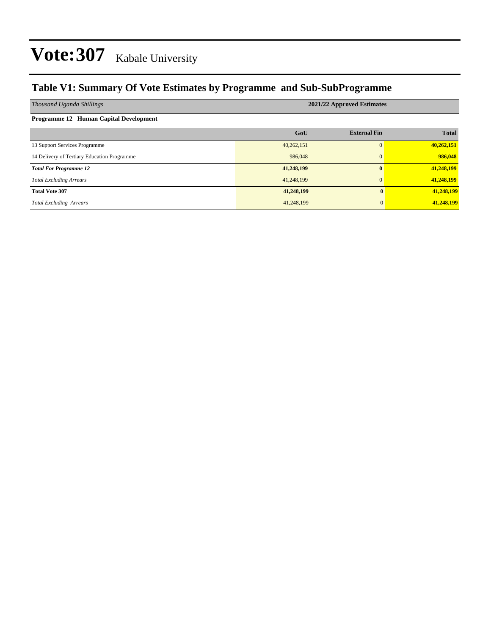### **Table V1: Summary Of Vote Estimates by Programme and Sub-SubProgramme**

| Thousand Uganda Shillings                     | 2021/22 Approved Estimates |                     |              |  |  |  |  |  |
|-----------------------------------------------|----------------------------|---------------------|--------------|--|--|--|--|--|
| <b>Programme 12 Human Capital Development</b> |                            |                     |              |  |  |  |  |  |
|                                               | GoU                        | <b>External Fin</b> | <b>Total</b> |  |  |  |  |  |
| 13 Support Services Programme                 | 40,262,151                 |                     | 40,262,151   |  |  |  |  |  |
| 14 Delivery of Tertiary Education Programme   | 986,048                    |                     | 986,048      |  |  |  |  |  |
| <b>Total For Programme 12</b>                 | 41,248,199                 |                     | 41,248,199   |  |  |  |  |  |
| <b>Total Excluding Arrears</b>                | 41,248,199                 |                     | 41,248,199   |  |  |  |  |  |
| <b>Total Vote 307</b>                         | 41,248,199                 | 0                   | 41,248,199   |  |  |  |  |  |
| <b>Total Excluding Arrears</b>                | 41,248,199                 | $\overline{0}$      | 41,248,199   |  |  |  |  |  |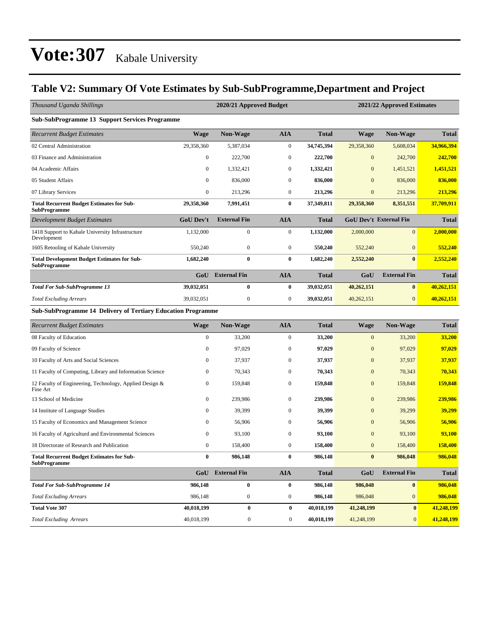### **Table V2: Summary Of Vote Estimates by Sub-SubProgramme,Department and Project**

| Thousand Uganda Shillings                                                 |                  | 2020/21 Approved Budget |                  |              |                | 2021/22 Approved Estimates    |              |
|---------------------------------------------------------------------------|------------------|-------------------------|------------------|--------------|----------------|-------------------------------|--------------|
| <b>Sub-SubProgramme 13 Support Services Programme</b>                     |                  |                         |                  |              |                |                               |              |
| <b>Recurrent Budget Estimates</b>                                         | <b>Wage</b>      | Non-Wage                | <b>AIA</b>       | <b>Total</b> | <b>Wage</b>    | Non-Wage                      | <b>Total</b> |
| 02 Central Administration                                                 | 29,358,360       | 5,387,034               | $\boldsymbol{0}$ | 34,745,394   | 29,358,360     | 5,608,034                     | 34,966,394   |
| 03 Finance and Administration                                             | $\boldsymbol{0}$ | 222,700                 | $\boldsymbol{0}$ | 222,700      | $\mathbf{0}$   | 242,700                       | 242,700      |
| 04 Academic Affairs                                                       | $\boldsymbol{0}$ | 1,332,421               | $\boldsymbol{0}$ | 1,332,421    | $\mathbf{0}$   | 1,451,521                     | 1,451,521    |
| 05 Student Affairs                                                        | $\mathbf{0}$     | 836,000                 | $\boldsymbol{0}$ | 836,000      | $\overline{0}$ | 836,000                       | 836,000      |
| 07 Library Services                                                       | 0                | 213,296                 | $\boldsymbol{0}$ | 213,296      | $\mathbf{0}$   | 213,296                       | 213,296      |
| <b>Total Recurrent Budget Estimates for Sub-</b><br><b>SubProgramme</b>   | 29,358,360       | 7,991,451               | $\bf{0}$         | 37,349,811   | 29,358,360     | 8,351,551                     | 37,709,911   |
| Development Budget Estimates                                              | <b>GoU Dev't</b> | <b>External Fin</b>     | <b>AIA</b>       | <b>Total</b> |                | <b>GoU Dev't External Fin</b> | <b>Total</b> |
| 1418 Support to Kabale University Infrastructure<br>Development           | 1,132,000        | $\boldsymbol{0}$        | $\boldsymbol{0}$ | 1,132,000    | 2,000,000      | $\mathbf{0}$                  | 2,000,000    |
| 1605 Retooling of Kabale University                                       | 550,240          | $\boldsymbol{0}$        | $\boldsymbol{0}$ | 550,240      | 552,240        | $\mathbf{0}$                  | 552,240      |
| <b>Total Development Budget Estimates for Sub-</b><br><b>SubProgramme</b> | 1,682,240        | $\bf{0}$                | $\bf{0}$         | 1,682,240    | 2,552,240      | $\bf{0}$                      | 2,552,240    |
|                                                                           | GoU              | <b>External Fin</b>     | <b>AIA</b>       | <b>Total</b> | GoU            | <b>External Fin</b>           | <b>Total</b> |
| <b>Total For Sub-SubProgramme 13</b>                                      | 39,032,051       | $\bf{0}$                | $\bf{0}$         | 39,032,051   | 40,262,151     | $\bf{0}$                      | 40,262,151   |
| <b>Total Excluding Arrears</b>                                            | 39,032,051       | $\boldsymbol{0}$        | $\boldsymbol{0}$ | 39,032,051   | 40,262,151     | $\mathbf{0}$                  | 40,262,151   |
| Sub-SubProgramme 14 Delivery of Tertiary Education Programme              |                  |                         |                  |              |                |                               |              |
| <b>Recurrent Budget Estimates</b>                                         | Wage             | Non-Wage                | <b>AIA</b>       | <b>Total</b> | <b>Wage</b>    | Non-Wage                      | <b>Total</b> |
| 08 Faculty of Education                                                   | $\mathbf{0}$     | 33,200                  | $\boldsymbol{0}$ | 33,200       | $\mathbf{0}$   | 33,200                        | 33,200       |
| 09 Faculty of Science                                                     | $\bf{0}$         | 97,029                  | $\boldsymbol{0}$ | 97,029       | $\mathbf{0}$   | 97,029                        | 97,029       |
| 10 Faculty of Arts and Social Sciences                                    | 0                | 37,937                  | $\boldsymbol{0}$ | 37,937       | $\mathbf{0}$   | 37,937                        | 37,937       |
| 11 Faculty of Computing, Library and Information Science                  | $\mathbf{0}$     | 70,343                  | $\boldsymbol{0}$ | 70,343       | $\mathbf{0}$   | 70,343                        | 70,343       |
| 12 Faculty of Engineering, Technology, Applied Design &<br>Fine Art       | 0                | 159,848                 | $\boldsymbol{0}$ | 159,848      | $\mathbf{0}$   | 159,848                       | 159,848      |
| 13 School of Medicine                                                     | $\bf{0}$         | 239,986                 | $\boldsymbol{0}$ | 239,986      | $\mathbf{0}$   | 239,986                       | 239,986      |
| 14 Institute of Language Studies                                          | 0                | 39,399                  | $\boldsymbol{0}$ | 39,399       | $\mathbf{0}$   | 39,299                        | 39,299       |
| 15 Faculty of Economics and Management Science                            | 0                | 56,906                  | $\boldsymbol{0}$ | 56,906       | $\mathbf{0}$   | 56,906                        | 56,906       |
| 16 Faculty of Agriculturd and Environmental Sciences                      | $\bf{0}$         | 93,100                  | $\boldsymbol{0}$ | 93,100       | $\mathbf{0}$   | 93,100                        | 93,100       |
| 18 Directorate of Research and Publication                                | $\boldsymbol{0}$ | 158,400                 | $\boldsymbol{0}$ | 158,400      | $\mathbf{0}$   | 158,400                       | 158,400      |
| <b>Total Recurrent Budget Estimates for Sub-</b><br><b>SubProgramme</b>   |                  | 986,148                 | $\bf{0}$         | 986,148      | $\bf{0}$       | 986,048                       | 986,048      |
|                                                                           |                  | <b>GoU</b> External Fin | <b>AIA</b>       | <b>Total</b> | GoU            | <b>External Fin</b>           | <b>Total</b> |
| <b>Total For Sub-SubProgramme 14</b>                                      | 986,148          | $\pmb{0}$               | $\bf{0}$         | 986,148      | 986,048        | $\boldsymbol{0}$              | 986,048      |
| <b>Total Excluding Arrears</b>                                            | 986,148          | $\boldsymbol{0}$        | $\bf{0}$         | 986,148      | 986,048        | $\boldsymbol{0}$              | 986,048      |
| <b>Total Vote 307</b>                                                     | 40,018,199       | $\pmb{0}$               | $\bf{0}$         | 40,018,199   | 41,248,199     | $\boldsymbol{0}$              | 41,248,199   |
| <b>Total Excluding Arrears</b>                                            | 40,018,199       | $\boldsymbol{0}$        | $\boldsymbol{0}$ | 40,018,199   | 41,248,199     | $\mathbf{0}$                  | 41,248,199   |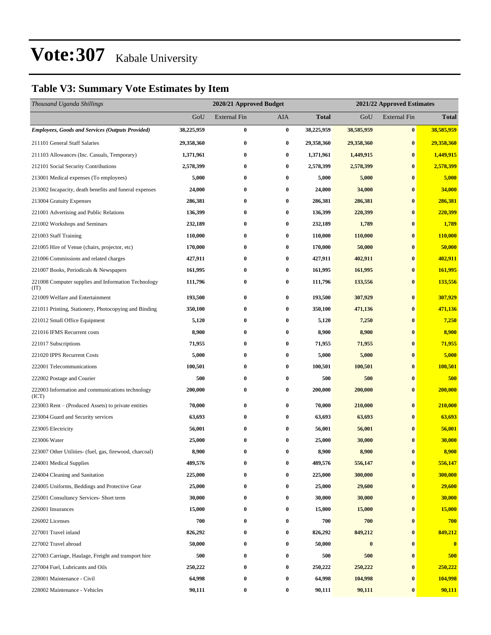### **Table V3: Summary Vote Estimates by Item**

| Thousand Uganda Shillings                                   |            | 2020/21 Approved Budget<br>2021/22 Approved Estimates |          |            |                  |                     |              |
|-------------------------------------------------------------|------------|-------------------------------------------------------|----------|------------|------------------|---------------------|--------------|
|                                                             | GoU        | <b>External Fin</b>                                   | AIA      | Total      | GoU              | <b>External Fin</b> | <b>Total</b> |
| <b>Employees, Goods and Services (Outputs Provided)</b>     | 38,225,959 | $\bf{0}$                                              | $\bf{0}$ | 38,225,959 | 38,585,959       | $\bf{0}$            | 38,585,959   |
| 211101 General Staff Salaries                               | 29,358,360 | $\bf{0}$                                              | $\bf{0}$ | 29,358,360 | 29,358,360       | $\bf{0}$            | 29,358,360   |
| 211103 Allowances (Inc. Casuals, Temporary)                 | 1,371,961  | 0                                                     | $\bf{0}$ | 1,371,961  | 1,449,915        | $\bf{0}$            | 1,449,915    |
| 212101 Social Security Contributions                        | 2,578,399  | 0                                                     | $\bf{0}$ | 2,578,399  | 2,578,399        | $\bf{0}$            | 2,578,399    |
| 213001 Medical expenses (To employees)                      | 5,000      | 0                                                     | $\bf{0}$ | 5,000      | 5,000            | $\bf{0}$            | 5,000        |
| 213002 Incapacity, death benefits and funeral expenses      | 24,000     | 0                                                     | $\bf{0}$ | 24,000     | 34,000           | $\bf{0}$            | 34,000       |
| 213004 Gratuity Expenses                                    | 286,381    | $\bf{0}$                                              | $\bf{0}$ | 286,381    | 286,381          | $\bf{0}$            | 286,381      |
| 221001 Advertising and Public Relations                     | 136,399    | 0                                                     | $\bf{0}$ | 136,399    | 220,399          | $\bf{0}$            | 220,399      |
| 221002 Workshops and Seminars                               | 232,189    | 0                                                     | $\bf{0}$ | 232,189    | 1,789            | $\bf{0}$            | 1,789        |
| 221003 Staff Training                                       | 110,000    | 0                                                     | $\bf{0}$ | 110,000    | 110,000          | $\bf{0}$            | 110,000      |
| 221005 Hire of Venue (chairs, projector, etc)               | 170,000    | 0                                                     | $\bf{0}$ | 170,000    | 50,000           | $\bf{0}$            | 50,000       |
| 221006 Commissions and related charges                      | 427,911    | $\bf{0}$                                              | $\bf{0}$ | 427,911    | 402,911          | $\bf{0}$            | 402,911      |
| 221007 Books, Periodicals & Newspapers                      | 161,995    | 0                                                     | $\bf{0}$ | 161,995    | 161,995          | $\bf{0}$            | 161,995      |
| 221008 Computer supplies and Information Technology<br>(TT) | 111,796    | $\bf{0}$                                              | $\bf{0}$ | 111,796    | 133,556          | $\bf{0}$            | 133,556      |
| 221009 Welfare and Entertainment                            | 193,500    | $\bf{0}$                                              | $\bf{0}$ | 193,500    | 307,929          | $\bf{0}$            | 307,929      |
| 221011 Printing, Stationery, Photocopying and Binding       | 350,100    | 0                                                     | $\bf{0}$ | 350,100    | 471,136          | $\bf{0}$            | 471,136      |
| 221012 Small Office Equipment                               | 5,120      | 0                                                     | $\bf{0}$ | 5,120      | 7,250            | $\bf{0}$            | 7,250        |
| 221016 IFMS Recurrent costs                                 | 8,900      | $\bf{0}$                                              | $\bf{0}$ | 8,900      | 8,900            | $\bf{0}$            | 8,900        |
| 221017 Subscriptions                                        | 71,955     | 0                                                     | $\bf{0}$ | 71,955     | 71,955           | $\bf{0}$            | 71,955       |
| 221020 IPPS Recurrent Costs                                 | 5,000      | $\bf{0}$                                              | 0        | 5,000      | 5,000            | $\bf{0}$            | 5,000        |
| 222001 Telecommunications                                   | 100,501    | 0                                                     | $\bf{0}$ | 100,501    | 100,501          | $\bf{0}$            | 100,501      |
| 222002 Postage and Courier                                  | 500        | 0                                                     | $\bf{0}$ | 500        | 500              | $\bf{0}$            | 500          |
| 222003 Information and communications technology<br>(ICT)   | 200,000    | $\bf{0}$                                              | $\bf{0}$ | 200,000    | 200,000          | $\bf{0}$            | 200,000      |
| 223003 Rent – (Produced Assets) to private entities         | 70,000     | $\bf{0}$                                              | $\bf{0}$ | 70,000     | 210,000          | $\bf{0}$            | 210,000      |
| 223004 Guard and Security services                          | 63,693     | 0                                                     | 0        | 63,693     | 63,693           | $\bf{0}$            | 63,693       |
| 223005 Electricity                                          | 56,001     | 0                                                     | $\bf{0}$ | 56,001     | 56,001           | $\bf{0}$            | 56,001       |
| 223006 Water                                                | 25,000     | 0                                                     | $\bf{0}$ | 25,000     | 30,000           | $\bf{0}$            | 30,000       |
| 223007 Other Utilities- (fuel, gas, firewood, charcoal)     | 8,900      | $\bf{0}$                                              | $\bf{0}$ | 8,900      | 8,900            | $\bf{0}$            | 8,900        |
| 224001 Medical Supplies                                     | 489,576    | 0                                                     | $\bf{0}$ | 489,576    | 556,147          | $\bf{0}$            | 556,147      |
| 224004 Cleaning and Sanitation                              | 225,000    | $\bf{0}$                                              | $\bf{0}$ | 225,000    | 300,000          | $\bf{0}$            | 300,000      |
| 224005 Uniforms, Beddings and Protective Gear               | 25,000     | $\bf{0}$                                              | $\bf{0}$ | 25,000     | 29,600           | $\bf{0}$            | 29,600       |
| 225001 Consultancy Services- Short term                     | 30,000     | 0                                                     | $\bf{0}$ | 30,000     | 30,000           | $\bf{0}$            | 30,000       |
| 226001 Insurances                                           | 15,000     | 0                                                     | $\bf{0}$ | 15,000     | 15,000           | $\bf{0}$            | 15,000       |
| 226002 Licenses                                             | 700        | $\bf{0}$                                              | $\bf{0}$ | 700        | 700              | $\bf{0}$            | 700          |
| 227001 Travel inland                                        | 826,292    | $\bf{0}$                                              | $\bf{0}$ | 826,292    | 849,212          | $\bf{0}$            | 849,212      |
| 227002 Travel abroad                                        | 50,000     | $\bf{0}$                                              | $\bf{0}$ | 50,000     | $\boldsymbol{0}$ | $\bf{0}$            | $\bf{0}$     |
| 227003 Carriage, Haulage, Freight and transport hire        | 500        | 0                                                     | $\bf{0}$ | 500        | 500              | $\bf{0}$            | 500          |
| 227004 Fuel, Lubricants and Oils                            | 250,222    | 0                                                     | $\bf{0}$ | 250,222    | 250,222          | $\bf{0}$            | 250,222      |
| 228001 Maintenance - Civil                                  | 64,998     | $\bf{0}$                                              | $\bf{0}$ | 64,998     | 104,998          | $\bf{0}$            | 104,998      |
| 228002 Maintenance - Vehicles                               | 90,111     | $\bf{0}$                                              | $\bf{0}$ | 90,111     | 90,111           | $\bf{0}$            | 90,111       |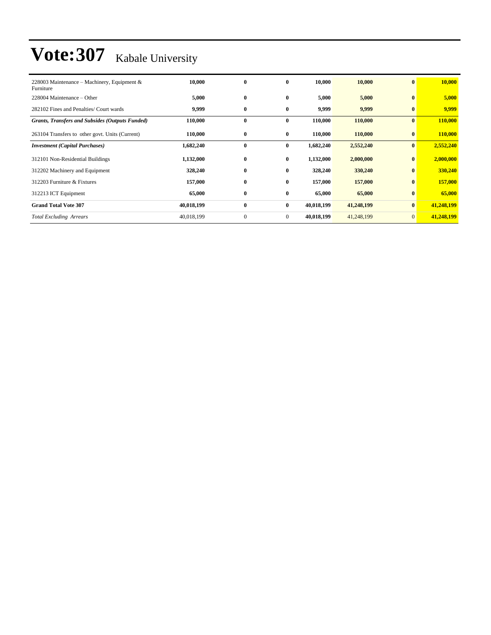| 228003 Maintenance – Machinery, Equipment &<br>Furniture | 10,000     | $\bf{0}$     | $\bf{0}$       | 10,000     | 10,000     | $\bf{0}$     | 10,000     |
|----------------------------------------------------------|------------|--------------|----------------|------------|------------|--------------|------------|
| 228004 Maintenance – Other                               | 5,000      | $\bf{0}$     | $\bf{0}$       | 5,000      | 5,000      | $\bf{0}$     | 5,000      |
| 282102 Fines and Penalties/ Court wards                  | 9,999      | $\bf{0}$     | $\bf{0}$       | 9,999      | 9,999      | $\bf{0}$     | 9,999      |
| <b>Grants, Transfers and Subsides (Outputs Funded)</b>   | 110,000    | $\bf{0}$     | $\bf{0}$       | 110,000    | 110,000    | $\bf{0}$     | 110,000    |
| 263104 Transfers to other govt. Units (Current)          | 110,000    | $\bf{0}$     | $\bf{0}$       | 110,000    | 110,000    | $\bf{0}$     | 110,000    |
| <b>Investment (Capital Purchases)</b>                    | 1,682,240  | $\bf{0}$     | $\bf{0}$       | 1,682,240  | 2,552,240  | $\bf{0}$     | 2,552,240  |
| 312101 Non-Residential Buildings                         | 1,132,000  | $\bf{0}$     | $\bf{0}$       | 1,132,000  | 2,000,000  | $\bf{0}$     | 2,000,000  |
| 312202 Machinery and Equipment                           | 328,240    | $\bf{0}$     | $\bf{0}$       | 328,240    | 330,240    | $\bf{0}$     | 330,240    |
| 312203 Furniture & Fixtures                              | 157,000    | $\bf{0}$     | $\bf{0}$       | 157,000    | 157,000    | $\bf{0}$     | 157,000    |
| 312213 ICT Equipment                                     | 65,000     | $\bf{0}$     | $\bf{0}$       | 65,000     | 65,000     | $\bf{0}$     | 65,000     |
| <b>Grand Total Vote 307</b>                              | 40,018,199 | $\bf{0}$     | $\bf{0}$       | 40,018,199 | 41,248,199 | $\bf{0}$     | 41,248,199 |
| <b>Total Excluding Arrears</b>                           | 40,018,199 | $\mathbf{0}$ | $\overline{0}$ | 40,018,199 | 41,248,199 | $\mathbf{0}$ | 41,248,199 |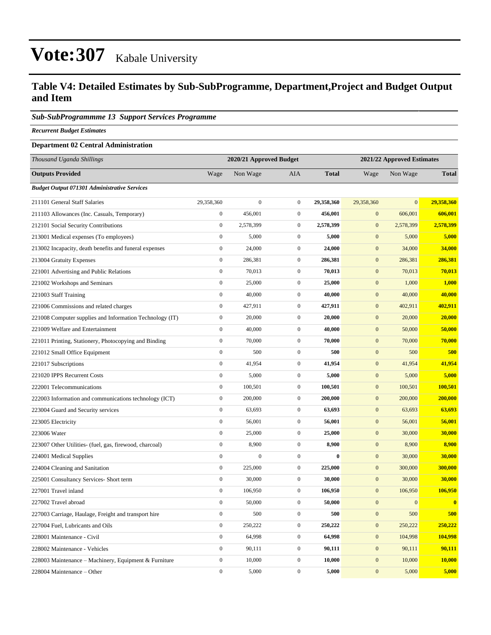### **Table V4: Detailed Estimates by Sub-SubProgramme, Department,Project and Budget Output and Item**

### *Sub-SubProgrammme 13 Support Services Programme*

*Recurrent Budget Estimates*

#### **Department 02 Central Administration**

| Thousand Uganda Shillings                                |                  | 2020/21 Approved Budget |                  |              | 2021/22 Approved Estimates |              |              |  |
|----------------------------------------------------------|------------------|-------------------------|------------------|--------------|----------------------------|--------------|--------------|--|
| <b>Outputs Provided</b>                                  | Wage             | Non Wage                | AIA              | <b>Total</b> | Wage                       | Non Wage     | <b>Total</b> |  |
| <b>Budget Output 071301 Administrative Services</b>      |                  |                         |                  |              |                            |              |              |  |
| 211101 General Staff Salaries                            | 29,358,360       | $\boldsymbol{0}$        | $\boldsymbol{0}$ | 29,358,360   | 29,358,360                 | $\mathbf{0}$ | 29,358,360   |  |
| 211103 Allowances (Inc. Casuals, Temporary)              | $\boldsymbol{0}$ | 456,001                 | $\boldsymbol{0}$ | 456,001      | $\mathbf{0}$               | 606,001      | 606,001      |  |
| 212101 Social Security Contributions                     | $\boldsymbol{0}$ | 2,578,399               | $\boldsymbol{0}$ | 2,578,399    | $\mathbf{0}$               | 2,578,399    | 2,578,399    |  |
| 213001 Medical expenses (To employees)                   | $\boldsymbol{0}$ | 5,000                   | $\boldsymbol{0}$ | 5,000        | $\mathbf{0}$               | 5,000        | 5,000        |  |
| 213002 Incapacity, death benefits and funeral expenses   | $\boldsymbol{0}$ | 24,000                  | $\boldsymbol{0}$ | 24,000       | $\mathbf{0}$               | 34,000       | 34,000       |  |
| 213004 Gratuity Expenses                                 | $\boldsymbol{0}$ | 286,381                 | $\boldsymbol{0}$ | 286,381      | $\mathbf{0}$               | 286,381      | 286,381      |  |
| 221001 Advertising and Public Relations                  | $\boldsymbol{0}$ | 70,013                  | $\boldsymbol{0}$ | 70,013       | $\mathbf{0}$               | 70,013       | 70,013       |  |
| 221002 Workshops and Seminars                            | $\boldsymbol{0}$ | 25,000                  | $\boldsymbol{0}$ | 25,000       | $\mathbf{0}$               | 1,000        | 1,000        |  |
| 221003 Staff Training                                    | $\boldsymbol{0}$ | 40,000                  | $\boldsymbol{0}$ | 40,000       | $\mathbf{0}$               | 40,000       | 40,000       |  |
| 221006 Commissions and related charges                   | $\boldsymbol{0}$ | 427,911                 | $\boldsymbol{0}$ | 427,911      | $\boldsymbol{0}$           | 402,911      | 402,911      |  |
| 221008 Computer supplies and Information Technology (IT) | $\boldsymbol{0}$ | 20,000                  | $\boldsymbol{0}$ | 20,000       | $\mathbf{0}$               | 20,000       | 20,000       |  |
| 221009 Welfare and Entertainment                         | $\mathbf{0}$     | 40,000                  | $\boldsymbol{0}$ | 40,000       | $\mathbf{0}$               | 50,000       | 50,000       |  |
| 221011 Printing, Stationery, Photocopying and Binding    | $\boldsymbol{0}$ | 70,000                  | $\boldsymbol{0}$ | 70,000       | $\mathbf{0}$               | 70,000       | 70,000       |  |
| 221012 Small Office Equipment                            | $\boldsymbol{0}$ | 500                     | $\boldsymbol{0}$ | 500          | $\mathbf{0}$               | 500          | 500          |  |
| 221017 Subscriptions                                     | $\boldsymbol{0}$ | 41,954                  | $\boldsymbol{0}$ | 41,954       | $\mathbf{0}$               | 41,954       | 41,954       |  |
| 221020 IPPS Recurrent Costs                              | $\boldsymbol{0}$ | 5,000                   | $\boldsymbol{0}$ | 5,000        | $\mathbf{0}$               | 5,000        | 5,000        |  |
| 222001 Telecommunications                                | $\boldsymbol{0}$ | 100,501                 | $\boldsymbol{0}$ | 100,501      | $\mathbf{0}$               | 100,501      | 100,501      |  |
| 222003 Information and communications technology (ICT)   | $\boldsymbol{0}$ | 200,000                 | $\boldsymbol{0}$ | 200,000      | $\mathbf{0}$               | 200,000      | 200,000      |  |
| 223004 Guard and Security services                       | $\boldsymbol{0}$ | 63,693                  | $\boldsymbol{0}$ | 63,693       | $\mathbf{0}$               | 63,693       | 63,693       |  |
| 223005 Electricity                                       | $\boldsymbol{0}$ | 56,001                  | $\boldsymbol{0}$ | 56,001       | $\mathbf{0}$               | 56,001       | 56,001       |  |
| 223006 Water                                             | $\boldsymbol{0}$ | 25,000                  | $\boldsymbol{0}$ | 25,000       | $\mathbf{0}$               | 30,000       | 30,000       |  |
| 223007 Other Utilities- (fuel, gas, firewood, charcoal)  | $\boldsymbol{0}$ | 8,900                   | $\boldsymbol{0}$ | 8,900        | $\mathbf{0}$               | 8,900        | 8,900        |  |
| 224001 Medical Supplies                                  | $\boldsymbol{0}$ | $\mathbf{0}$            | $\boldsymbol{0}$ | $\bf{0}$     | $\mathbf{0}$               | 30,000       | 30,000       |  |
| 224004 Cleaning and Sanitation                           | $\boldsymbol{0}$ | 225,000                 | $\boldsymbol{0}$ | 225,000      | $\mathbf{0}$               | 300,000      | 300,000      |  |
| 225001 Consultancy Services- Short term                  | $\boldsymbol{0}$ | 30,000                  | $\boldsymbol{0}$ | 30,000       | $\mathbf{0}$               | 30,000       | 30,000       |  |
| 227001 Travel inland                                     | $\boldsymbol{0}$ | 106,950                 | $\boldsymbol{0}$ | 106,950      | $\mathbf{0}$               | 106,950      | 106,950      |  |
| 227002 Travel abroad                                     | $\boldsymbol{0}$ | 50,000                  | $\boldsymbol{0}$ | 50,000       | $\mathbf{0}$               | $\mathbf{0}$ | $\bf{0}$     |  |
| 227003 Carriage, Haulage, Freight and transport hire     | $\mathbf{0}$     | 500                     | $\boldsymbol{0}$ | 500          | $\mathbf{0}$               | 500          | 500          |  |
| 227004 Fuel, Lubricants and Oils                         | $\mathbf{0}$     | 250,222                 | $\boldsymbol{0}$ | 250,222      | $\mathbf{0}$               | 250,222      | 250,222      |  |
| 228001 Maintenance - Civil                               | $\boldsymbol{0}$ | 64,998                  | $\boldsymbol{0}$ | 64,998       | $\mathbf{0}$               | 104,998      | 104,998      |  |
| 228002 Maintenance - Vehicles                            | $\boldsymbol{0}$ | 90,111                  | $\boldsymbol{0}$ | 90,111       | $\mathbf{0}$               | 90,111       | 90,111       |  |
| 228003 Maintenance – Machinery, Equipment & Furniture    | $\boldsymbol{0}$ | 10,000                  | $\boldsymbol{0}$ | 10,000       | $\mathbf{0}$               | 10,000       | 10,000       |  |
| 228004 Maintenance - Other                               | $\boldsymbol{0}$ | 5,000                   | $\overline{0}$   | 5,000        | $\boldsymbol{0}$           | 5,000        | 5,000        |  |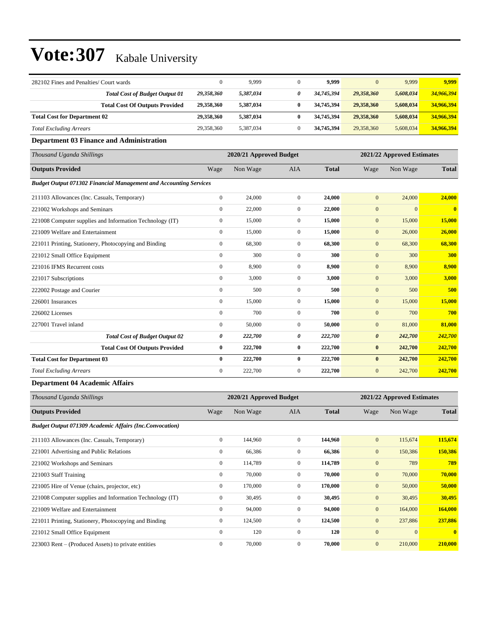| 282102 Fines and Penalties/ Court wards |                                       | $\Omega$   | 9,999     | 9.999      | 0          | 9,999     | 9,999      |
|-----------------------------------------|---------------------------------------|------------|-----------|------------|------------|-----------|------------|
|                                         | <b>Total Cost of Budget Output 01</b> | 29,358,360 | 5,387,034 | 34,745,394 | 29,358,360 | 5,608,034 | 34,966,394 |
|                                         | <b>Total Cost Of Outputs Provided</b> | 29,358,360 | 5,387,034 | 34,745,394 | 29,358,360 | 5,608,034 | 34,966,394 |
| <b>Total Cost for Department 02</b>     |                                       | 29.358.360 | 5,387,034 | 34,745,394 | 29,358,360 | 5,608,034 | 34,966,394 |
| <b>Total Excluding Arrears</b>          |                                       | 29,358,360 | 5,387,034 | 34,745,394 | 29,358,360 | 5,608,034 | 34,966,394 |

### **Department 03 Finance and Administration**

| Thousand Uganda Shillings                                                |                | 2020/21 Approved Budget |                |              | 2021/22 Approved Estimates |              |              |  |
|--------------------------------------------------------------------------|----------------|-------------------------|----------------|--------------|----------------------------|--------------|--------------|--|
| <b>Outputs Provided</b>                                                  | Wage           | Non Wage                | <b>AIA</b>     | <b>Total</b> | Wage                       | Non Wage     | <b>Total</b> |  |
| <b>Budget Output 071302 Financial Management and Accounting Services</b> |                |                         |                |              |                            |              |              |  |
| 211103 Allowances (Inc. Casuals, Temporary)                              | $\overline{0}$ | 24,000                  | $\mathbf{0}$   | 24,000       | $\mathbf{0}$               | 24,000       | 24,000       |  |
| 221002 Workshops and Seminars                                            | $\mathbf{0}$   | 22,000                  | 0              | 22,000       | $\boldsymbol{0}$           | $\mathbf{0}$ | $\bf{0}$     |  |
| 221008 Computer supplies and Information Technology (IT)                 | $\mathbf{0}$   | 15,000                  | $\overline{0}$ | 15,000       | $\mathbf{0}$               | 15,000       | 15,000       |  |
| 221009 Welfare and Entertainment                                         | $\mathbf{0}$   | 15,000                  | $\overline{0}$ | 15,000       | $\mathbf{0}$               | 26,000       | 26,000       |  |
| 221011 Printing, Stationery, Photocopying and Binding                    | $\mathbf{0}$   | 68,300                  | $\Omega$       | 68,300       | $\mathbf{0}$               | 68,300       | 68,300       |  |
| 221012 Small Office Equipment                                            | $\mathbf{0}$   | 300                     | $\overline{0}$ | 300          | $\boldsymbol{0}$           | 300          | 300          |  |
| 221016 IFMS Recurrent costs                                              | $\mathbf{0}$   | 8,900                   | $\overline{0}$ | 8,900        | $\mathbf{0}$               | 8,900        | 8,900        |  |
| 221017 Subscriptions                                                     | $\overline{0}$ | 3,000                   | $\overline{0}$ | 3,000        | $\mathbf{0}$               | 3,000        | 3,000        |  |
| 222002 Postage and Courier                                               | $\mathbf{0}$   | 500                     | $\overline{0}$ | 500          | $\mathbf{0}$               | 500          | 500          |  |
| 226001 Insurances                                                        | $\mathbf{0}$   | 15,000                  | $\overline{0}$ | 15,000       | $\boldsymbol{0}$           | 15,000       | 15,000       |  |
| 226002 Licenses                                                          | $\mathbf{0}$   | 700                     | $\overline{0}$ | 700          | $\boldsymbol{0}$           | 700          | 700          |  |
| 227001 Travel inland                                                     | $\overline{0}$ | 50,000                  | $\overline{0}$ | 50,000       | $\mathbf{0}$               | 81,000       | 81,000       |  |
| <b>Total Cost of Budget Output 02</b>                                    | 0              | 222,700                 | 0              | 222,700      | $\boldsymbol{\theta}$      | 242,700      | 242,700      |  |
| <b>Total Cost Of Outputs Provided</b>                                    | $\bf{0}$       | 222,700                 | $\bf{0}$       | 222,700      | $\bf{0}$                   | 242,700      | 242,700      |  |
| <b>Total Cost for Department 03</b>                                      | $\bf{0}$       | 222,700                 | $\bf{0}$       | 222,700      | $\bf{0}$                   | 242,700      | 242,700      |  |
| <b>Total Excluding Arrears</b>                                           | $\mathbf{0}$   | 222,700                 | $\overline{0}$ | 222,700      | $\mathbf{0}$               | 242,700      | 242,700      |  |

### **Department 04 Academic Affairs**

| Thousand Uganda Shillings                                      |                  | 2020/21 Approved Budget |                |              |              | 2021/22 Approved Estimates |              |  |  |
|----------------------------------------------------------------|------------------|-------------------------|----------------|--------------|--------------|----------------------------|--------------|--|--|
| <b>Outputs Provided</b>                                        | Wage             | Non Wage                | <b>AIA</b>     | <b>Total</b> | Wage         | Non Wage                   | <b>Total</b> |  |  |
| <b>Budget Output 071309 Academic Affairs (Inc.Convocation)</b> |                  |                         |                |              |              |                            |              |  |  |
| 211103 Allowances (Inc. Casuals, Temporary)                    | $\mathbf{0}$     | 144,960                 | $\overline{0}$ | 144,960      | $\mathbf{0}$ | 115,674                    | 115,674      |  |  |
| 221001 Advertising and Public Relations                        | $\mathbf{0}$     | 66,386                  | $\mathbf{0}$   | 66,386       | $\mathbf{0}$ | 150,386                    | 150,386      |  |  |
| 221002 Workshops and Seminars                                  | $\mathbf{0}$     | 114,789                 | $\overline{0}$ | 114,789      | $\mathbf{0}$ | 789                        | 789          |  |  |
| 221003 Staff Training                                          | $\mathbf{0}$     | 70,000                  | $\mathbf{0}$   | 70,000       | $\mathbf{0}$ | 70,000                     | 70,000       |  |  |
| 221005 Hire of Venue (chairs, projector, etc)                  | $\boldsymbol{0}$ | 170,000                 | $\overline{0}$ | 170,000      | $\mathbf{0}$ | 50,000                     | 50,000       |  |  |
| 221008 Computer supplies and Information Technology (IT)       | $\mathbf{0}$     | 30,495                  | $\mathbf{0}$   | 30,495       | $\mathbf{0}$ | 30,495                     | 30,495       |  |  |
| 221009 Welfare and Entertainment                               | $\mathbf{0}$     | 94,000                  | $\overline{0}$ | 94,000       | $\mathbf{0}$ | 164,000                    | 164,000      |  |  |
| 221011 Printing, Stationery, Photocopying and Binding          | $\mathbf{0}$     | 124,500                 | $\overline{0}$ | 124,500      | $\mathbf{0}$ | 237,886                    | 237,886      |  |  |
| 221012 Small Office Equipment                                  | $\mathbf{0}$     | 120                     | $\Omega$       | 120          | $\mathbf{0}$ | $\theta$                   | $\mathbf{0}$ |  |  |
| 223003 Rent – (Produced Assets) to private entities            | $\mathbf{0}$     | 70,000                  | $\overline{0}$ | 70,000       | $\mathbf{0}$ | 210,000                    | 210,000      |  |  |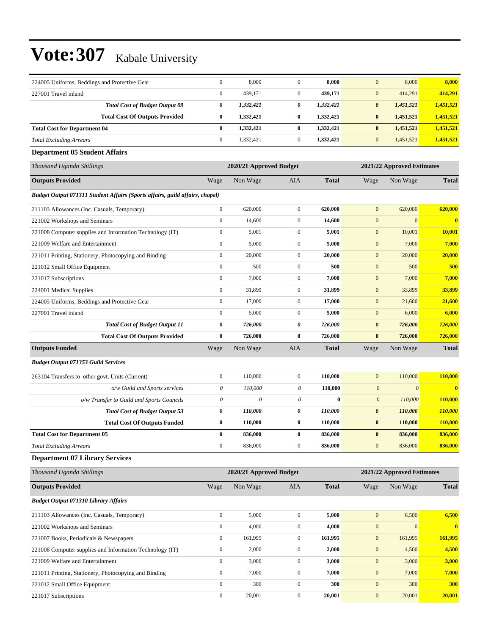| 224005 Uniforms, Beddings and Protective Gear                                | $\boldsymbol{0}$          | 8,000                   | $\boldsymbol{0}$      | 8,000        | $\mathbf{0}$          | 8,000                      | 8,000        |
|------------------------------------------------------------------------------|---------------------------|-------------------------|-----------------------|--------------|-----------------------|----------------------------|--------------|
| 227001 Travel inland                                                         | $\boldsymbol{0}$          | 439,171                 | $\boldsymbol{0}$      | 439,171      | $\boldsymbol{0}$      | 414,291                    | 414,291      |
| <b>Total Cost of Budget Output 09</b>                                        | 0                         | 1,332,421               | 0                     | 1,332,421    | $\pmb{\theta}$        | 1,451,521                  | 1,451,521    |
| <b>Total Cost Of Outputs Provided</b>                                        | 0                         | 1,332,421               | $\bf{0}$              | 1,332,421    | $\bf{0}$              | 1,451,521                  | 1,451,521    |
| <b>Total Cost for Department 04</b>                                          | $\bf{0}$                  | 1,332,421               | $\bf{0}$              | 1,332,421    | $\bf{0}$              | 1,451,521                  | 1,451,521    |
| <b>Total Excluding Arrears</b>                                               | $\boldsymbol{0}$          | 1,332,421               | $\boldsymbol{0}$      | 1,332,421    | $\boldsymbol{0}$      | 1,451,521                  | 1,451,521    |
| <b>Department 05 Student Affairs</b>                                         |                           |                         |                       |              |                       |                            |              |
| Thousand Uganda Shillings                                                    |                           | 2020/21 Approved Budget |                       |              |                       | 2021/22 Approved Estimates |              |
| <b>Outputs Provided</b>                                                      | Wage                      | Non Wage                | AIA                   | <b>Total</b> | Wage                  | Non Wage                   | <b>Total</b> |
| Budget Output 071311 Student Affairs (Sports affairs, guild affairs, chapel) |                           |                         |                       |              |                       |                            |              |
| 211103 Allowances (Inc. Casuals, Temporary)                                  | $\boldsymbol{0}$          | 620,000                 | $\boldsymbol{0}$      | 620,000      | $\mathbf{0}$          | 620,000                    | 620,000      |
| 221002 Workshops and Seminars                                                | $\overline{0}$            | 14,600                  | $\boldsymbol{0}$      | 14,600       | $\boldsymbol{0}$      | $\boldsymbol{0}$           | $\mathbf{0}$ |
| 221008 Computer supplies and Information Technology (IT)                     | $\boldsymbol{0}$          | 5,001                   | $\boldsymbol{0}$      | 5,001        | $\mathbf{0}$          | 10,001                     | 10,001       |
| 221009 Welfare and Entertainment                                             | $\boldsymbol{0}$          | 5,000                   | $\boldsymbol{0}$      | 5,000        | $\boldsymbol{0}$      | 7,000                      | 7,000        |
| 221011 Printing, Stationery, Photocopying and Binding                        | $\boldsymbol{0}$          | 20,000                  | $\boldsymbol{0}$      | 20,000       | $\boldsymbol{0}$      | 20,000                     | 20,000       |
| 221012 Small Office Equipment                                                | $\boldsymbol{0}$          | 500                     | $\boldsymbol{0}$      | 500          | $\boldsymbol{0}$      | 500                        | 500          |
| 221017 Subscriptions                                                         | $\boldsymbol{0}$          | 7,000                   | $\boldsymbol{0}$      | 7,000        | $\mathbf{0}$          | 7,000                      | 7,000        |
| 224001 Medical Supplies                                                      | $\boldsymbol{0}$          | 31,899                  | $\boldsymbol{0}$      | 31,899       | $\boldsymbol{0}$      | 33,899                     | 33,899       |
| 224005 Uniforms, Beddings and Protective Gear                                | $\boldsymbol{0}$          | 17,000                  | $\boldsymbol{0}$      | 17,000       | $\boldsymbol{0}$      | 21,600                     | 21,600       |
| 227001 Travel inland                                                         | $\boldsymbol{0}$          | 5,000                   | $\boldsymbol{0}$      | 5,000        | $\mathbf{0}$          | 6,000                      | 6,000        |
| <b>Total Cost of Budget Output 11</b>                                        | 0                         | 726,000                 | 0                     | 726,000      | $\pmb{\theta}$        | 726,000                    | 726,000      |
|                                                                              |                           |                         |                       |              |                       |                            |              |
| <b>Total Cost Of Outputs Provided</b>                                        | 0                         | 726,000                 | $\bf{0}$              | 726,000      | $\bf{0}$              | 726,000                    | 726,000      |
| <b>Outputs Funded</b>                                                        | Wage                      | Non Wage                | AIA                   | <b>Total</b> | Wage                  | Non Wage                   | <b>Total</b> |
| <b>Budget Output 071353 Guild Services</b>                                   |                           |                         |                       |              |                       |                            |              |
| 263104 Transfers to other govt. Units (Current)                              | $\boldsymbol{0}$          | 110,000                 | $\boldsymbol{0}$      | 110,000      | $\boldsymbol{0}$      | 110,000                    | 110,000      |
| o/w Guild and Sports services                                                | $\boldsymbol{\mathit{0}}$ | 110,000                 | $\theta$              | 110,000      | $\boldsymbol{0}$      | $\boldsymbol{\theta}$      | $\bf{0}$     |
| o/w Transfer to Guild and Sports Councils                                    | $\boldsymbol{\mathit{0}}$ | $\theta$                | $\boldsymbol{\theta}$ | $\bf{0}$     | $\boldsymbol{\theta}$ | 110,000                    | 110,000      |
| <b>Total Cost of Budget Output 53</b>                                        | 0                         | 110,000                 | 0                     | 110,000      | $\pmb{\theta}$        | 110,000                    | 110,000      |
| <b>Total Cost Of Outputs Funded</b>                                          | 0                         | 110,000                 | $\bf{0}$              | 110,000      | $\bf{0}$              | 110,000                    | 110,000      |
| <b>Total Cost for Department 05</b>                                          | $\bf{0}$                  | 836,000                 | $\bf{0}$              | 836,000      | $\bf{0}$              | 836,000                    | 836,000      |
| <b>Total Excluding Arrears</b>                                               | $\boldsymbol{0}$          | 836,000                 | $\boldsymbol{0}$      | 836,000      | $\mathbf{0}$          | 836,000                    | 836,000      |
| <b>Department 07 Library Services</b>                                        |                           |                         |                       |              |                       |                            |              |
| Thousand Uganda Shillings                                                    |                           | 2020/21 Approved Budget |                       |              |                       | 2021/22 Approved Estimates |              |
| <b>Outputs Provided</b>                                                      | Wage                      | Non Wage                | AIA                   | <b>Total</b> | Wage                  | Non Wage                   | <b>Total</b> |
| <b>Budget Output 071310 Library Affairs</b>                                  |                           |                         |                       |              |                       |                            |              |
| 211103 Allowances (Inc. Casuals, Temporary)                                  | $\boldsymbol{0}$          | 5,000                   | $\boldsymbol{0}$      | 5,000        | $\mathbf{0}$          | 6,500                      | 6,500        |
| 221002 Workshops and Seminars                                                | $\boldsymbol{0}$          | 4,000                   | $\boldsymbol{0}$      | 4,000        | $\boldsymbol{0}$      | $\boldsymbol{0}$           | $\bf{0}$     |
| 221007 Books, Periodicals & Newspapers                                       | $\boldsymbol{0}$          | 161,995                 | $\boldsymbol{0}$      | 161,995      | $\boldsymbol{0}$      | 161,995                    | 161,995      |
| 221008 Computer supplies and Information Technology (IT)                     | $\boldsymbol{0}$          | 2,000                   | $\boldsymbol{0}$      | 2,000        | $\boldsymbol{0}$      | 4,500                      | 4,500        |
| 221009 Welfare and Entertainment                                             | $\boldsymbol{0}$          | 3,000                   | $\boldsymbol{0}$      | 3,000        | $\boldsymbol{0}$      | 3,000                      | 3,000        |
| 221011 Printing, Stationery, Photocopying and Binding                        | $\boldsymbol{0}$          | 7,000                   | $\boldsymbol{0}$      | 7,000        | $\mathbf{0}$          | 7,000                      | 7,000        |
| 221012 Small Office Equipment                                                | $\boldsymbol{0}$          | 300                     | $\boldsymbol{0}$      | 300          | $\boldsymbol{0}$      | 300                        | 300          |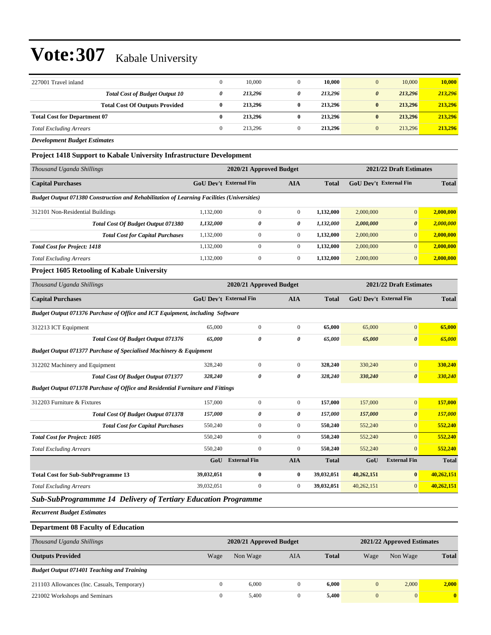| 227001 Travel inland                  |   | 10.000  | 10,000  | 10,000<br>$\mathbf{0}$           | 10.000  |
|---------------------------------------|---|---------|---------|----------------------------------|---------|
| <b>Total Cost of Budget Output 10</b> | 0 | 213,296 | 213.296 | 213,296<br>$\boldsymbol{\theta}$ | 213,296 |
| <b>Total Cost Of Outputs Provided</b> | 0 | 213,296 | 213,296 | 213.296<br>$\bf{0}$              | 213,296 |
| <b>Total Cost for Department 07</b>   | 0 | 213,296 | 213,296 | 213.296<br>$\bf{0}$              | 213,296 |
| <b>Total Excluding Arrears</b>        |   | 213.296 | 213,296 | 213.296<br>$\theta$              | 213,296 |
|                                       |   |         |         |                                  |         |

*Development Budget Estimates*

#### **Project 1418 Support to Kabale University Infrastructure Development**

| Thousand Uganda Shillings                                                                         |                               | 2020/21 Approved Budget |              |              | 2021/22 Draft Estimates       |                       |              |  |
|---------------------------------------------------------------------------------------------------|-------------------------------|-------------------------|--------------|--------------|-------------------------------|-----------------------|--------------|--|
| <b>Capital Purchases</b>                                                                          | <b>GoU Dev't External Fin</b> |                         | <b>AIA</b>   | <b>Total</b> | <b>GoU</b> Dev't External Fin |                       | <b>Total</b> |  |
| <b>Budget Output 071380 Construction and Rehabilitation of Learning Facilities (Universities)</b> |                               |                         |              |              |                               |                       |              |  |
| 312101 Non-Residential Buildings                                                                  | 1.132,000                     | $\Omega$                | $\mathbf{0}$ | 1.132.000    | 2,000,000                     | $\overline{0}$        | 2,000,000    |  |
| <b>Total Cost Of Budget Output 071380</b>                                                         | 1,132,000                     | 0                       | 0            | 1.132.000    | 2,000,000                     | $\boldsymbol{\theta}$ | 2,000,000    |  |
| <b>Total Cost for Capital Purchases</b>                                                           | 1.132,000                     | $\mathbf{0}$            | $\mathbf{0}$ | 1.132.000    | 2,000,000                     | $\overline{0}$        | 2,000,000    |  |
| <b>Total Cost for Project: 1418</b>                                                               | 1.132,000                     | $\Omega$                |              | 1.132.000    | 2,000,000                     | $\overline{0}$        | 2,000,000    |  |
| <b>Total Excluding Arrears</b>                                                                    | 1.132,000                     | $\mathbf{0}$            | $\mathbf{0}$ | 1.132.000    | 2,000,000                     | $\overline{0}$        | 2.000.000    |  |

#### **Project 1605 Retooling of Kabale University**

| Thousand Uganda Shillings                                                             |                               | 2020/21 Approved Budget |                |              |                               | 2021/22 Draft Estimates |              |  |  |
|---------------------------------------------------------------------------------------|-------------------------------|-------------------------|----------------|--------------|-------------------------------|-------------------------|--------------|--|--|
| <b>Capital Purchases</b>                                                              | <b>GoU Dev't External Fin</b> |                         | <b>AIA</b>     | <b>Total</b> | <b>GoU Dev't External Fin</b> |                         | <b>Total</b> |  |  |
| Budget Output 071376 Purchase of Office and ICT Equipment, including Software         |                               |                         |                |              |                               |                         |              |  |  |
| 312213 ICT Equipment                                                                  | 65,000                        | $\Omega$                | $\theta$       | 65,000       | 65,000                        | $\mathbf{0}$            | 65,000       |  |  |
| <b>Total Cost Of Budget Output 071376</b>                                             | 65.000                        | 0                       | 0              | 65,000       | 65,000                        | $\boldsymbol{\theta}$   | 65,000       |  |  |
| <b>Budget Output 071377 Purchase of Specialised Machinery &amp; Equipment</b>         |                               |                         |                |              |                               |                         |              |  |  |
| 312202 Machinery and Equipment                                                        | 328,240                       | $\mathbf{0}$            | $\overline{0}$ | 328,240      | 330,240                       | $\overline{0}$          | 330,240      |  |  |
| Total Cost Of Budget Output 071377                                                    | 328,240                       | 0                       | 0              | 328,240      | 330,240                       | $\boldsymbol{\theta}$   | 330,240      |  |  |
| <b>Budget Output 071378 Purchase of Office and Residential Furniture and Fittings</b> |                               |                         |                |              |                               |                         |              |  |  |
| 312203 Furniture & Fixtures                                                           | 157,000                       | $\mathbf{0}$            | $\overline{0}$ | 157,000      | 157,000                       | $\overline{0}$          | 157,000      |  |  |
| <b>Total Cost Of Budget Output 071378</b>                                             | 157,000                       | 0                       | 0              | 157,000      | 157,000                       | $\boldsymbol{\theta}$   | 157,000      |  |  |
| <b>Total Cost for Capital Purchases</b>                                               | 550,240                       | $\mathbf{0}$            | $\overline{0}$ | 550,240      | 552,240                       | $\overline{0}$          | 552,240      |  |  |
| <b>Total Cost for Project: 1605</b>                                                   | 550,240                       | $\Omega$                | $\Omega$       | 550,240      | 552,240                       | $\Omega$                | 552,240      |  |  |
| <b>Total Excluding Arrears</b>                                                        | 550,240                       | $\mathbf{0}$            | $\overline{0}$ | 550,240      | 552,240                       | $\overline{0}$          | 552,240      |  |  |
|                                                                                       | GoU                           | <b>External Fin</b>     | <b>AIA</b>     | <b>Total</b> | GoU                           | <b>External Fin</b>     | <b>Total</b> |  |  |
| <b>Total Cost for Sub-SubProgramme 13</b>                                             | 39,032,051                    | $\bf{0}$                | $\bf{0}$       | 39,032,051   | 40,262,151                    | $\bf{0}$                | 40,262,151   |  |  |
| <b>Total Excluding Arrears</b>                                                        | 39,032,051                    | $\mathbf{0}$            | $\overline{0}$ | 39,032,051   | 40,262,151                    | $\overline{0}$          | 40,262,151   |  |  |

*Sub-SubProgrammme 14 Delivery of Tertiary Education Programme*

*Recurrent Budget Estimates*

### **Department 08 Faculty of Education**

| Thousand Uganda Shillings                         |      | 2020/21 Approved Budget |     |              | 2021/22 Approved Estimates |                 |                         |
|---------------------------------------------------|------|-------------------------|-----|--------------|----------------------------|-----------------|-------------------------|
| <b>Outputs Provided</b>                           | Wage | Non Wage                | AIA | <b>Total</b> | Wage                       | Non Wage        | <b>Total</b>            |
| <b>Budget Output 071401 Teaching and Training</b> |      |                         |     |              |                            |                 |                         |
| 211103 Allowances (Inc. Casuals, Temporary)       | 0    | 6.000                   |     | 6.000        | $\mathbf{0}$               | 2,000           | 2.000                   |
| 221002 Workshops and Seminars                     | 0    | 5,400                   |     | 5,400        | $\mathbf{0}$               | $\vert 0 \vert$ | $\overline{\mathbf{0}}$ |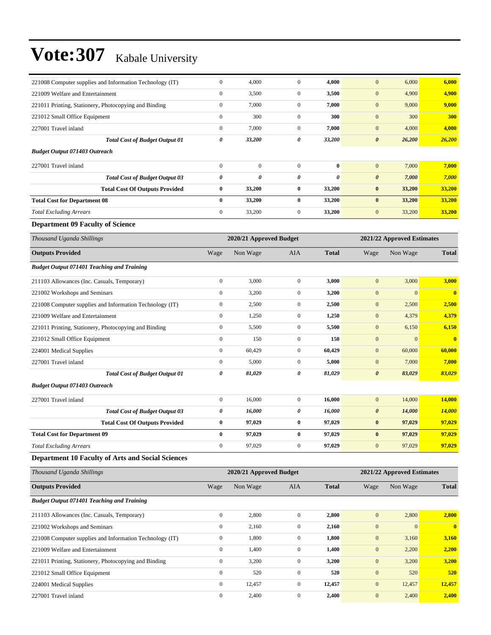| 221008 Computer supplies and Information Technology (IT) | $\boldsymbol{0}$ | 4,000                   | $\boldsymbol{0}$ | 4,000        | $\mathbf{0}$          | 6,000                      | 6,000         |
|----------------------------------------------------------|------------------|-------------------------|------------------|--------------|-----------------------|----------------------------|---------------|
| 221009 Welfare and Entertainment                         | $\boldsymbol{0}$ | 3,500                   | $\boldsymbol{0}$ | 3,500        | $\mathbf{0}$          | 4,900                      | 4,900         |
| 221011 Printing, Stationery, Photocopying and Binding    | $\boldsymbol{0}$ | 7,000                   | $\boldsymbol{0}$ | 7,000        | $\mathbf{0}$          | 9,000                      | 9,000         |
| 221012 Small Office Equipment                            | $\boldsymbol{0}$ | 300                     | $\boldsymbol{0}$ | 300          | $\mathbf{0}$          | 300                        | 300           |
| 227001 Travel inland                                     | $\boldsymbol{0}$ | 7,000                   | $\mathbf{0}$     | 7,000        | $\mathbf{0}$          | 4,000                      | 4,000         |
| <b>Total Cost of Budget Output 01</b>                    | 0                | 33,200                  | 0                | 33,200       | $\boldsymbol{\theta}$ | 26,200                     | 26,200        |
| <b>Budget Output 071403 Outreach</b>                     |                  |                         |                  |              |                       |                            |               |
| 227001 Travel inland                                     | $\mathbf{0}$     | $\boldsymbol{0}$        | $\boldsymbol{0}$ | $\bf{0}$     | $\mathbf{0}$          | 7,000                      | 7,000         |
| <b>Total Cost of Budget Output 03</b>                    | 0                | 0                       | $\pmb{\theta}$   | 0            | $\boldsymbol{\theta}$ | 7,000                      | 7,000         |
| <b>Total Cost Of Outputs Provided</b>                    | $\pmb{0}$        | 33,200                  | $\bf{0}$         | 33,200       | $\bf{0}$              | 33,200                     | 33,200        |
| <b>Total Cost for Department 08</b>                      | $\bf{0}$         | 33,200                  | $\bf{0}$         | 33,200       | $\bf{0}$              | 33,200                     | 33,200        |
| <b>Total Excluding Arrears</b>                           | $\boldsymbol{0}$ | 33,200                  | $\mathbf{0}$     | 33,200       | $\mathbf{0}$          | 33,200                     | 33,200        |
| <b>Department 09 Faculty of Science</b>                  |                  |                         |                  |              |                       |                            |               |
| Thousand Uganda Shillings                                |                  | 2020/21 Approved Budget |                  |              |                       | 2021/22 Approved Estimates |               |
| <b>Outputs Provided</b>                                  | Wage             | Non Wage                | AIA              | <b>Total</b> | Wage                  | Non Wage                   | <b>Total</b>  |
| <b>Budget Output 071401 Teaching and Training</b>        |                  |                         |                  |              |                       |                            |               |
| 211103 Allowances (Inc. Casuals, Temporary)              | $\boldsymbol{0}$ | 3,000                   | $\boldsymbol{0}$ | 3,000        | $\mathbf{0}$          | 3,000                      | 3,000         |
| 221002 Workshops and Seminars                            | $\boldsymbol{0}$ | 3,200                   | $\mathbf{0}$     | 3,200        | $\mathbf{0}$          | $\mathbf{0}$               | $\mathbf{0}$  |
| 221008 Computer supplies and Information Technology (IT) | $\boldsymbol{0}$ | 2,500                   | $\boldsymbol{0}$ | 2,500        | $\mathbf{0}$          | 2,500                      | 2,500         |
| 221009 Welfare and Entertainment                         | $\boldsymbol{0}$ | 1,250                   | $\mathbf{0}$     | 1,250        | $\mathbf{0}$          | 4,379                      | 4,379         |
| 221011 Printing, Stationery, Photocopying and Binding    | $\boldsymbol{0}$ | 5,500                   | $\mathbf{0}$     | 5,500        | $\bf{0}$              | 6,150                      | 6,150         |
| 221012 Small Office Equipment                            | $\boldsymbol{0}$ | 150                     | $\boldsymbol{0}$ | 150          | $\mathbf{0}$          | $\boldsymbol{0}$           | $\bf{0}$      |
| 224001 Medical Supplies                                  | $\boldsymbol{0}$ | 60,429                  | $\mathbf{0}$     | 60,429       | $\mathbf{0}$          | 60,000                     | 60,000        |
| 227001 Travel inland                                     | $\boldsymbol{0}$ | 5,000                   | $\mathbf{0}$     | 5,000        | $\mathbf{0}$          | 7,000                      | 7,000         |
| <b>Total Cost of Budget Output 01</b>                    | 0                | 81,029                  | 0                | 81,029       | $\boldsymbol{\theta}$ | 83,029                     | 83,029        |
| <b>Budget Output 071403 Outreach</b>                     |                  |                         |                  |              |                       |                            |               |
| 227001 Travel inland                                     | $\boldsymbol{0}$ | 16,000                  | $\mathbf{0}$     | 16,000       | $\mathbf{0}$          | 14,000                     | 14,000        |
| <b>Total Cost of Budget Output 03</b>                    | 0                | 16,000                  | 0                | 16,000       | $\boldsymbol{\theta}$ | 14,000                     | <b>14,000</b> |
| <b>Total Cost Of Outputs Provided</b>                    | $\bf{0}$         | 97,029                  | $\bf{0}$         | 97,029       | $\bf{0}$              | 97,029                     | 97,029        |
| <b>Total Cost for Department 09</b>                      | $\bf{0}$         | 97,029                  | $\bf{0}$         | 97,029       | $\bf{0}$              | 97,029                     | 97,029        |
| <b>Total Excluding Arrears</b>                           | $\boldsymbol{0}$ | 97,029                  | $\boldsymbol{0}$ | 97,029       | $\mathbf{0}$          | 97,029                     | 97,029        |
| <b>Department 10 Faculty of Arts and Social Sciences</b> |                  |                         |                  |              |                       |                            |               |
| Thousand Uganda Shillings                                |                  | 2020/21 Approved Budget |                  |              |                       | 2021/22 Approved Estimates |               |
| <b>Outputs Provided</b>                                  | Wage             | Non Wage                | AIA              | <b>Total</b> | Wage                  | Non Wage                   | <b>Total</b>  |
| <b>Budget Output 071401 Teaching and Training</b>        |                  |                         |                  |              |                       |                            |               |
| 211103 Allowances (Inc. Casuals, Temporary)              | $\boldsymbol{0}$ | 2,800                   | $\boldsymbol{0}$ | 2,800        | $\boldsymbol{0}$      | 2,800                      | 2,800         |
| 221002 Workshops and Seminars                            | $\boldsymbol{0}$ | 2,160                   | $\boldsymbol{0}$ | 2,160        | $\mathbf{0}$          | $\boldsymbol{0}$           | $\mathbf{0}$  |
| 221008 Computer supplies and Information Technology (IT) | $\boldsymbol{0}$ | 1,800                   | $\boldsymbol{0}$ | 1,800        | $\boldsymbol{0}$      | 3,160                      | 3,160         |
| 221009 Welfare and Entertainment                         | $\boldsymbol{0}$ | 1,400                   | $\boldsymbol{0}$ | 1,400        | $\mathbf{0}$          | 2,200                      | 2,200         |
| 221011 Printing, Stationery, Photocopying and Binding    | $\boldsymbol{0}$ | 3,200                   | $\boldsymbol{0}$ | 3,200        | $\mathbf{0}$          | 3,200                      | 3,200         |
| 221012 Small Office Equipment                            | $\boldsymbol{0}$ | 520                     | $\boldsymbol{0}$ | 520          | $\mathbf{0}$          | 520                        | 520           |
| 224001 Medical Supplies                                  | $\boldsymbol{0}$ | 12,457                  | $\boldsymbol{0}$ | 12,457       | $\boldsymbol{0}$      | 12,457                     | 12,457        |
| 227001 Travel inland                                     | $\boldsymbol{0}$ | 2,400                   | $\boldsymbol{0}$ | 2,400        | $\boldsymbol{0}$      | 2,400                      | 2,400         |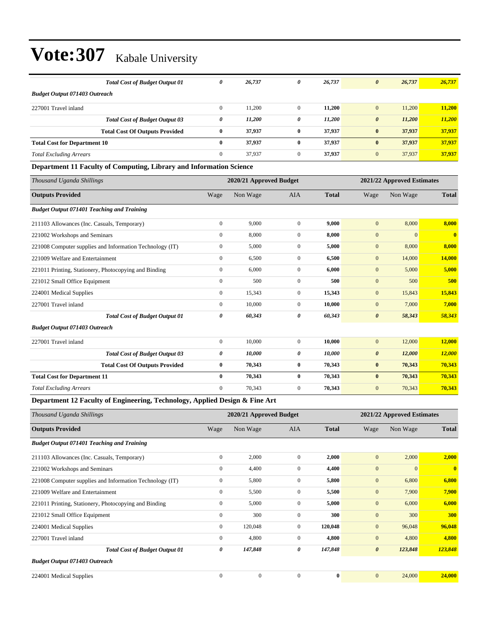|                                      | <b>Total Cost of Budget Output 01</b> | 0            | 26,737 | 0        | 26,737 | 26,737<br>$\boldsymbol{\theta}$ | 26,737 |
|--------------------------------------|---------------------------------------|--------------|--------|----------|--------|---------------------------------|--------|
| <b>Budget Output 071403 Outreach</b> |                                       |              |        |          |        |                                 |        |
| 227001 Travel inland                 |                                       | $\mathbf{0}$ | 11,200 | $\Omega$ | 11,200 | 11,200<br>$\mathbf{0}$          | 11,200 |
|                                      | <b>Total Cost of Budget Output 03</b> | 0            | 11,200 | 0        | 11,200 | 11,200<br>$\boldsymbol{\theta}$ | 11,200 |
|                                      | <b>Total Cost Of Outputs Provided</b> | $\bf{0}$     | 37,937 | $\bf{0}$ | 37,937 | 37,937<br>$\bf{0}$              | 37,937 |
| <b>Total Cost for Department 10</b>  |                                       | $\bf{0}$     | 37,937 | $\bf{0}$ | 37,937 | 37,937<br>$\bf{0}$              | 37,937 |
| <b>Total Excluding Arrears</b>       |                                       | $\mathbf{0}$ | 37.937 | 0        | 37.937 | 37,937<br>$\mathbf{0}$          | 37,937 |

#### **Department 11 Faculty of Computing, Library and Information Science**

| Thousand Uganda Shillings                                                 |                | 2020/21 Approved Budget |                |              |                       | 2021/22 Approved Estimates |                         |
|---------------------------------------------------------------------------|----------------|-------------------------|----------------|--------------|-----------------------|----------------------------|-------------------------|
| <b>Outputs Provided</b>                                                   | Wage           | Non Wage                | <b>AIA</b>     | <b>Total</b> | Wage                  | Non Wage                   | <b>Total</b>            |
| <b>Budget Output 071401 Teaching and Training</b>                         |                |                         |                |              |                       |                            |                         |
| 211103 Allowances (Inc. Casuals, Temporary)                               | $\overline{0}$ | 9,000                   | $\overline{0}$ | 9.000        | $\mathbf{0}$          | 8,000                      | 8.000                   |
| 221002 Workshops and Seminars                                             | $\overline{0}$ | 8,000                   | $\overline{0}$ | 8,000        | $\mathbf{0}$          | $\mathbf{0}$               | $\overline{\mathbf{0}}$ |
| 221008 Computer supplies and Information Technology (IT)                  | $\mathbf{0}$   | 5,000                   | $\mathbf{0}$   | 5,000        | $\mathbf{0}$          | 8,000                      | 8,000                   |
| 221009 Welfare and Entertainment                                          | $\mathbf{0}$   | 6,500                   | $\mathbf{0}$   | 6,500        | $\mathbf{0}$          | 14,000                     | 14,000                  |
| 221011 Printing, Stationery, Photocopying and Binding                     | $\mathbf{0}$   | 6,000                   | $\mathbf{0}$   | 6,000        | $\mathbf{0}$          | 5,000                      | 5,000                   |
| 221012 Small Office Equipment                                             | $\mathbf{0}$   | 500                     | $\overline{0}$ | 500          | $\mathbf{0}$          | 500                        | 500                     |
| 224001 Medical Supplies                                                   | $\overline{0}$ | 15,343                  | $\overline{0}$ | 15,343       | $\mathbf{0}$          | 15,843                     | 15,843                  |
| 227001 Travel inland                                                      | $\mathbf{0}$   | 10,000                  | $\mathbf{0}$   | 10,000       | $\mathbf{0}$          | 7,000                      | 7,000                   |
| <b>Total Cost of Budget Output 01</b>                                     | 0              | 60,343                  | 0              | 60,343       | $\boldsymbol{\theta}$ | 58,343                     | 58,343                  |
| <b>Budget Output 071403 Outreach</b>                                      |                |                         |                |              |                       |                            |                         |
| 227001 Travel inland                                                      | $\overline{0}$ | 10,000                  | $\mathbf{0}$   | 10,000       | $\mathbf{0}$          | 12,000                     | 12,000                  |
| <b>Total Cost of Budget Output 03</b>                                     | 0              | 10,000                  | 0              | 10,000       | $\boldsymbol{\theta}$ | 12,000                     | <b>12,000</b>           |
| <b>Total Cost Of Outputs Provided</b>                                     | $\bf{0}$       | 70,343                  | $\bf{0}$       | 70,343       | $\bf{0}$              | 70,343                     | 70,343                  |
| <b>Total Cost for Department 11</b>                                       | $\bf{0}$       | 70,343                  | $\bf{0}$       | 70,343       | $\bf{0}$              | 70,343                     | 70,343                  |
| <b>Total Excluding Arrears</b>                                            | $\Omega$       | 70,343                  | $\mathbf{0}$   | 70,343       | $\mathbf{0}$          | 70,343                     | 70,343                  |
| Department 12 Fourth of Engineering Technology, Applied Decism & Fine Ant |                |                         |                |              |                       |                            |                         |

#### **Department 12 Faculty of Engineering, Technology, Applied Design & Fine Art**

| Thousand Uganda Shillings                                |                | 2020/21 Approved Budget |              |              |                       | 2021/22 Approved Estimates |              |
|----------------------------------------------------------|----------------|-------------------------|--------------|--------------|-----------------------|----------------------------|--------------|
| <b>Outputs Provided</b>                                  | Wage           | Non Wage                | <b>AIA</b>   | <b>Total</b> | Wage                  | Non Wage                   | <b>Total</b> |
| <b>Budget Output 071401 Teaching and Training</b>        |                |                         |              |              |                       |                            |              |
| 211103 Allowances (Inc. Casuals, Temporary)              | $\overline{0}$ | 2,000                   | $\mathbf{0}$ | 2,000        | $\mathbf{0}$          | 2,000                      | 2,000        |
| 221002 Workshops and Seminars                            | $\mathbf{0}$   | 4,400                   | $\mathbf{0}$ | 4,400        | $\overline{0}$        | $\mathbf{0}$               | $\mathbf{0}$ |
| 221008 Computer supplies and Information Technology (IT) | 0              | 5,800                   | $\mathbf{0}$ | 5,800        | $\mathbf{0}$          | 6,800                      | 6,800        |
| 221009 Welfare and Entertainment                         | $\mathbf{0}$   | 5,500                   | $\mathbf{0}$ | 5,500        | $\mathbf{0}$          | 7,900                      | 7,900        |
| 221011 Printing, Stationery, Photocopying and Binding    | $\mathbf{0}$   | 5,000                   | $\mathbf{0}$ | 5,000        | $\mathbf{0}$          | 6,000                      | 6,000        |
| 221012 Small Office Equipment                            | $\mathbf{0}$   | 300                     | $\mathbf{0}$ | 300          | $\mathbf{0}$          | 300                        | 300          |
| 224001 Medical Supplies                                  | $\overline{0}$ | 120,048                 | $\mathbf{0}$ | 120,048      | $\mathbf{0}$          | 96,048                     | 96,048       |
| 227001 Travel inland                                     | $\mathbf{0}$   | 4,800                   | $\mathbf{0}$ | 4,800        | $\mathbf{0}$          | 4,800                      | 4,800        |
| <b>Total Cost of Budget Output 01</b>                    | 0              | 147,848                 | 0            | 147,848      | $\boldsymbol{\theta}$ | 123,848                    | 123,848      |
| <b>Budget Output 071403 Outreach</b>                     |                |                         |              |              |                       |                            |              |
| 224001 Medical Supplies                                  | $\Omega$       | $\mathbf{0}$            | $\Omega$     | $\bf{0}$     | $\overline{0}$        | 24,000                     | 24,000       |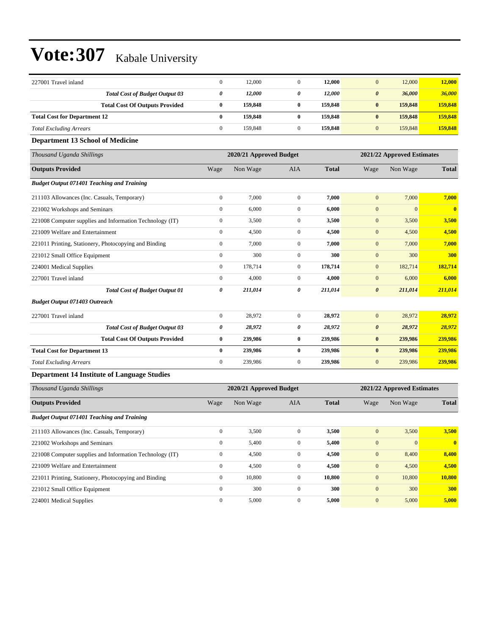| 227001 Travel inland                                     | $\boldsymbol{0}$ | 12,000                  | $\boldsymbol{0}$ | 12,000       | $\mathbf{0}$          | 12,000                     | 12,000       |
|----------------------------------------------------------|------------------|-------------------------|------------------|--------------|-----------------------|----------------------------|--------------|
| <b>Total Cost of Budget Output 03</b>                    | 0                | 12,000                  | 0                | 12,000       | $\boldsymbol{\theta}$ | 36,000                     | 36,000       |
| <b>Total Cost Of Outputs Provided</b>                    | $\bf{0}$         | 159,848                 | $\bf{0}$         | 159,848      | $\pmb{0}$             | 159,848                    | 159,848      |
| <b>Total Cost for Department 12</b>                      | $\bf{0}$         | 159,848                 | $\bf{0}$         | 159,848      | $\pmb{0}$             | 159,848                    | 159,848      |
| <b>Total Excluding Arrears</b>                           | $\boldsymbol{0}$ | 159,848                 | $\boldsymbol{0}$ | 159,848      | $\mathbf{0}$          | 159,848                    | 159,848      |
| <b>Department 13 School of Medicine</b>                  |                  |                         |                  |              |                       |                            |              |
| Thousand Uganda Shillings                                |                  | 2020/21 Approved Budget |                  |              |                       | 2021/22 Approved Estimates |              |
| <b>Outputs Provided</b>                                  | Wage             | Non Wage                | AIA              | <b>Total</b> | Wage                  | Non Wage                   | <b>Total</b> |
| <b>Budget Output 071401 Teaching and Training</b>        |                  |                         |                  |              |                       |                            |              |
| 211103 Allowances (Inc. Casuals, Temporary)              | $\boldsymbol{0}$ | 7,000                   | $\mathbf{0}$     | 7,000        | $\mathbf{0}$          | 7,000                      | 7,000        |
| 221002 Workshops and Seminars                            | $\boldsymbol{0}$ | 6,000                   | $\boldsymbol{0}$ | 6,000        | $\boldsymbol{0}$      | $\boldsymbol{0}$           | $\bf{0}$     |
| 221008 Computer supplies and Information Technology (IT) | $\boldsymbol{0}$ | 3,500                   | $\boldsymbol{0}$ | 3,500        | $\boldsymbol{0}$      | 3,500                      | 3,500        |
| 221009 Welfare and Entertainment                         | $\boldsymbol{0}$ | 4,500                   | $\boldsymbol{0}$ | 4,500        | $\boldsymbol{0}$      | 4,500                      | 4,500        |
| 221011 Printing, Stationery, Photocopying and Binding    | $\boldsymbol{0}$ | 7,000                   | $\mathbf{0}$     | 7,000        | $\boldsymbol{0}$      | 7,000                      | 7,000        |
| 221012 Small Office Equipment                            | $\boldsymbol{0}$ | 300                     | $\mathbf{0}$     | 300          | $\boldsymbol{0}$      | 300                        | 300          |
| 224001 Medical Supplies                                  | $\boldsymbol{0}$ | 178,714                 | $\boldsymbol{0}$ | 178,714      | $\boldsymbol{0}$      | 182,714                    | 182,714      |
| 227001 Travel inland                                     | $\boldsymbol{0}$ | 4,000                   | $\boldsymbol{0}$ | 4,000        | $\boldsymbol{0}$      | 6,000                      | 6,000        |
| <b>Total Cost of Budget Output 01</b>                    | 0                | 211,014                 | 0                | 211,014      | $\boldsymbol{\theta}$ | 211,014                    | 211,014      |
| <b>Budget Output 071403 Outreach</b>                     |                  |                         |                  |              |                       |                            |              |
| 227001 Travel inland                                     | $\boldsymbol{0}$ | 28,972                  | $\boldsymbol{0}$ | 28,972       | $\mathbf{0}$          | 28,972                     | 28,972       |
| <b>Total Cost of Budget Output 03</b>                    | 0                | 28,972                  | 0                | 28,972       | $\pmb{\theta}$        | 28,972                     | 28,972       |
| <b>Total Cost Of Outputs Provided</b>                    | $\bf{0}$         | 239,986                 | $\bf{0}$         | 239,986      | $\bf{0}$              | 239,986                    | 239,986      |
| <b>Total Cost for Department 13</b>                      | $\bf{0}$         | 239,986                 | $\bf{0}$         | 239,986      | $\bf{0}$              | 239,986                    | 239,986      |
| <b>Total Excluding Arrears</b>                           | $\boldsymbol{0}$ | 239,986                 | $\boldsymbol{0}$ | 239,986      | $\mathbf{0}$          | 239,986                    | 239,986      |
| <b>Department 14 Institute of Language Studies</b>       |                  |                         |                  |              |                       |                            |              |
| Thousand Uganda Shillings                                |                  | 2020/21 Approved Budget |                  |              |                       | 2021/22 Approved Estimates |              |
| <b>Outputs Provided</b>                                  | Wage             | Non Wage                | AIA              | <b>Total</b> | Wage                  | Non Wage                   | <b>Total</b> |
| <b>Budget Output 071401 Teaching and Training</b>        |                  |                         |                  |              |                       |                            |              |
| 211103 Allowances (Inc. Casuals, Temporary)              | $\boldsymbol{0}$ | 3,500                   | $\mathbf{0}$     | 3,500        | $\mathbf{0}$          | 3,500                      | 3,500        |
| 221002 Workshops and Seminars                            | $\boldsymbol{0}$ | 5,400                   | $\boldsymbol{0}$ | 5,400        | $\boldsymbol{0}$      | $\boldsymbol{0}$           | $\bf{0}$     |
| 221008 Computer supplies and Information Technology (IT) | $\boldsymbol{0}$ | 4,500                   | $\boldsymbol{0}$ | 4,500        | $\boldsymbol{0}$      | 8,400                      | 8,400        |
| 221009 Welfare and Entertainment                         | $\boldsymbol{0}$ | 4,500                   | $\boldsymbol{0}$ | 4,500        | $\bf{0}$              | 4,500                      | 4,500        |
| 221011 Printing, Stationery, Photocopying and Binding    | $\boldsymbol{0}$ | 10,800                  | $\boldsymbol{0}$ | 10,800       | $\mathbf{0}$          | 10,800                     | 10,800       |
| 221012 Small Office Equipment                            | $\boldsymbol{0}$ | 300                     | $\boldsymbol{0}$ | 300          | $\boldsymbol{0}$      | 300                        | <b>300</b>   |
| 224001 Medical Supplies                                  | $\boldsymbol{0}$ | 5,000                   | $\boldsymbol{0}$ | 5,000        | $\boldsymbol{0}$      | 5,000                      | 5,000        |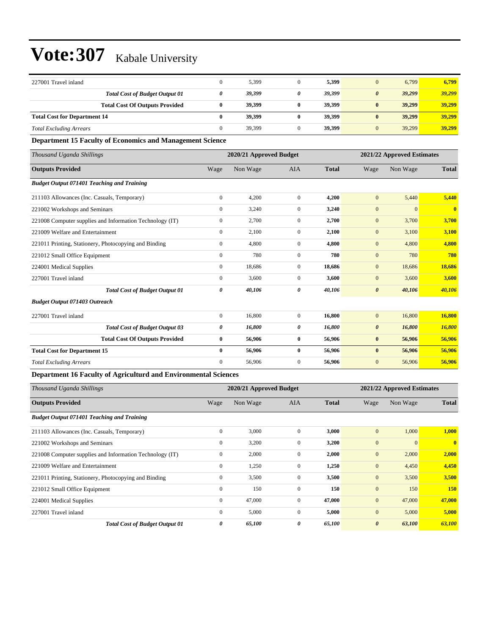| 227001 Travel inland                |                                       | 5,399  |   | 5,399  | 6,799<br>$\Omega$               | 6,799  |
|-------------------------------------|---------------------------------------|--------|---|--------|---------------------------------|--------|
|                                     | <b>Total Cost of Budget Output 01</b> | 39,399 | 0 | 39.399 | 39,299<br>$\boldsymbol{\theta}$ | 39,299 |
|                                     | <b>Total Cost Of Outputs Provided</b> | 39,399 |   | 39,399 | 39,299<br>$\mathbf{0}$          | 39,299 |
| <b>Total Cost for Department 14</b> |                                       | 39,399 |   | 39,399 | 39,299<br>$\mathbf{0}$          | 39,299 |
| <b>Total Excluding Arrears</b>      |                                       | 39,399 |   | 39,399 | 39,299<br>$\Omega$              | 39,299 |

#### **Department 15 Faculty of Economics and Management Science**

| Thousand Uganda Shillings                                |              | 2020/21 Approved Budget |                  |              |                       | 2021/22 Approved Estimates |                         |
|----------------------------------------------------------|--------------|-------------------------|------------------|--------------|-----------------------|----------------------------|-------------------------|
| <b>Outputs Provided</b>                                  | Wage         | Non Wage                | <b>AIA</b>       | <b>Total</b> | Wage                  | Non Wage                   | <b>Total</b>            |
| <b>Budget Output 071401 Teaching and Training</b>        |              |                         |                  |              |                       |                            |                         |
| 211103 Allowances (Inc. Casuals, Temporary)              | $\mathbf{0}$ | 4,200                   | $\mathbf{0}$     | 4,200        | $\mathbf{0}$          | 5,440                      | 5,440                   |
| 221002 Workshops and Seminars                            | $\mathbf{0}$ | 3,240                   | $\mathbf{0}$     | 3,240        | $\boldsymbol{0}$      | $\Omega$                   | $\overline{\mathbf{0}}$ |
| 221008 Computer supplies and Information Technology (IT) | $\mathbf{0}$ | 2,700                   | $\boldsymbol{0}$ | 2,700        | $\mathbf{0}$          | 3,700                      | 3,700                   |
| 221009 Welfare and Entertainment                         | $\mathbf{0}$ | 2,100                   | $\mathbf{0}$     | 2,100        | $\boldsymbol{0}$      | 3,100                      | 3,100                   |
| 221011 Printing, Stationery, Photocopying and Binding    | $\mathbf{0}$ | 4,800                   | $\mathbf{0}$     | 4,800        | $\boldsymbol{0}$      | 4,800                      | 4,800                   |
| 221012 Small Office Equipment                            | $\mathbf{0}$ | 780                     | $\mathbf{0}$     | 780          | $\boldsymbol{0}$      | 780                        | 780                     |
| 224001 Medical Supplies                                  | $\mathbf{0}$ | 18,686                  | $\mathbf{0}$     | 18,686       | $\boldsymbol{0}$      | 18,686                     | 18,686                  |
| 227001 Travel inland                                     | $\mathbf{0}$ | 3,600                   | $\mathbf{0}$     | 3,600        | $\boldsymbol{0}$      | 3,600                      | 3,600                   |
| <b>Total Cost of Budget Output 01</b>                    | 0            | 40,106                  | 0                | 40,106       | $\boldsymbol{\theta}$ | 40,106                     | 40,106                  |
| <b>Budget Output 071403 Outreach</b>                     |              |                         |                  |              |                       |                            |                         |
| 227001 Travel inland                                     | $\mathbf{0}$ | 16,800                  | $\mathbf{0}$     | 16,800       | $\mathbf{0}$          | 16,800                     | 16,800                  |
| <b>Total Cost of Budget Output 03</b>                    | 0            | 16,800                  | 0                | 16,800       | $\boldsymbol{\theta}$ | 16,800                     | 16,800                  |
| <b>Total Cost Of Outputs Provided</b>                    | $\bf{0}$     | 56,906                  | 0                | 56,906       | $\bf{0}$              | 56,906                     | 56,906                  |
| <b>Total Cost for Department 15</b>                      | $\bf{0}$     | 56,906                  | $\bf{0}$         | 56,906       | $\bf{0}$              | 56,906                     | 56,906                  |
| <b>Total Excluding Arrears</b>                           | $\mathbf{0}$ | 56,906                  | 0                | 56,906       | $\mathbf{0}$          | 56,906                     | 56,906                  |
| .                                                        | $\sim$       |                         |                  |              |                       |                            |                         |

### **Department 16 Faculty of Agriculturd and Environmental Sciences**

| Thousand Uganda Shillings                                |                | 2020/21 Approved Budget |                |              |                       | 2021/22 Approved Estimates |              |  |
|----------------------------------------------------------|----------------|-------------------------|----------------|--------------|-----------------------|----------------------------|--------------|--|
| <b>Outputs Provided</b>                                  | Wage           | Non Wage                | <b>AIA</b>     | <b>Total</b> | Wage                  | Non Wage                   | <b>Total</b> |  |
| <b>Budget Output 071401 Teaching and Training</b>        |                |                         |                |              |                       |                            |              |  |
| 211103 Allowances (Inc. Casuals, Temporary)              | $\mathbf{0}$   | 3,000                   | $\mathbf{0}$   | 3,000        | $\mathbf{0}$          | 1,000                      | 1,000        |  |
| 221002 Workshops and Seminars                            | $\mathbf{0}$   | 3,200                   | $\mathbf{0}$   | 3,200        | $\mathbf{0}$          | $\mathbf{0}$               | $\mathbf{0}$ |  |
| 221008 Computer supplies and Information Technology (IT) | $\mathbf{0}$   | 2,000                   | $\mathbf{0}$   | 2,000        | $\mathbf{0}$          | 2,000                      | 2,000        |  |
| 221009 Welfare and Entertainment                         | $\overline{0}$ | 1,250                   | $\overline{0}$ | 1,250        | $\mathbf{0}$          | 4,450                      | 4,450        |  |
| 221011 Printing, Stationery, Photocopying and Binding    | $\overline{0}$ | 3,500                   | $\overline{0}$ | 3,500        | $\mathbf{0}$          | 3,500                      | 3,500        |  |
| 221012 Small Office Equipment                            | $\mathbf{0}$   | 150                     | $\overline{0}$ | 150          | $\mathbf{0}$          | 150                        | <b>150</b>   |  |
| 224001 Medical Supplies                                  | $\overline{0}$ | 47,000                  | $\overline{0}$ | 47,000       | $\mathbf{0}$          | 47,000                     | 47,000       |  |
| 227001 Travel inland                                     | $\mathbf{0}$   | 5,000                   | $\overline{0}$ | 5,000        | $\mathbf{0}$          | 5,000                      | 5,000        |  |
| <b>Total Cost of Budget Output 01</b>                    | 0              | 65,100                  | 0              | 65,100       | $\boldsymbol{\theta}$ | 63,100                     | 63,100       |  |